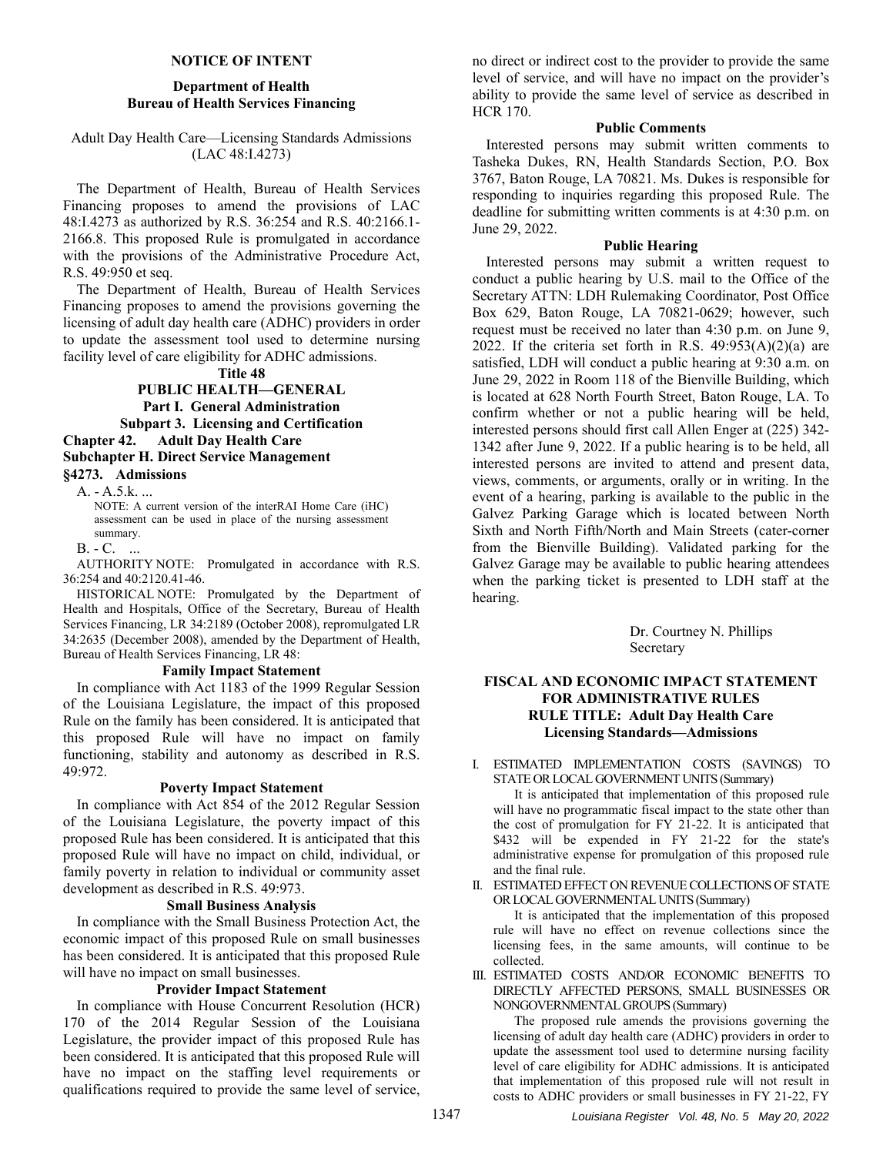# **NOTICE OF INTENT**

# **Department of Health Bureau of Health Services Financing**

# Adult Day Health Care—Licensing Standards Admissions (LAC 48:I.4273)

The Department of Health, Bureau of Health Services Financing proposes to amend the provisions of LAC 48:I.4273 as authorized by R.S. 36:254 and R.S. 40:2166.1- 2166.8. This proposed Rule is promulgated in accordance with the provisions of the Administrative Procedure Act, R.S. 49:950 et seq.

The Department of Health, Bureau of Health Services Financing proposes to amend the provisions governing the licensing of adult day health care (ADHC) providers in order to update the assessment tool used to determine nursing facility level of care eligibility for ADHC admissions.

**Title 48** 

# **PUBLIC HEALTH—GENERAL Part I. General Administration Subpart 3. Licensing and Certification Chapter 42. Adult Day Health Care**

**Subchapter H. Direct Service Management §4273. Admissions** 

A. - A.5.k. ...

NOTE: A current version of the interRAI Home Care (iHC) assessment can be used in place of the nursing assessment summary.

B. - C. ...

AUTHORITY NOTE: Promulgated in accordance with R.S. 36:254 and 40:2120.41-46.

HISTORICAL NOTE: Promulgated by the Department of Health and Hospitals, Office of the Secretary, Bureau of Health Services Financing, LR 34:2189 (October 2008), repromulgated LR 34:2635 (December 2008), amended by the Department of Health, Bureau of Health Services Financing, LR 48:

# **Family Impact Statement**

In compliance with Act 1183 of the 1999 Regular Session of the Louisiana Legislature, the impact of this proposed Rule on the family has been considered. It is anticipated that this proposed Rule will have no impact on family functioning, stability and autonomy as described in R.S. 49:972.

#### **Poverty Impact Statement**

In compliance with Act 854 of the 2012 Regular Session of the Louisiana Legislature, the poverty impact of this proposed Rule has been considered. It is anticipated that this proposed Rule will have no impact on child, individual, or family poverty in relation to individual or community asset development as described in R.S. 49:973.

# **Small Business Analysis**

In compliance with the Small Business Protection Act, the economic impact of this proposed Rule on small businesses has been considered. It is anticipated that this proposed Rule will have no impact on small businesses.

# **Provider Impact Statement**

In compliance with House Concurrent Resolution (HCR) 170 of the 2014 Regular Session of the Louisiana Legislature, the provider impact of this proposed Rule has been considered. It is anticipated that this proposed Rule will have no impact on the staffing level requirements or qualifications required to provide the same level of service,

no direct or indirect cost to the provider to provide the same level of service, and will have no impact on the provider's ability to provide the same level of service as described in HCR 170.

## **Public Comments**

Interested persons may submit written comments to Tasheka Dukes, RN, Health Standards Section, P.O. Box 3767, Baton Rouge, LA 70821. Ms. Dukes is responsible for responding to inquiries regarding this proposed Rule. The deadline for submitting written comments is at 4:30 p.m. on June 29, 2022.

### **Public Hearing**

Interested persons may submit a written request to conduct a public hearing by U.S. mail to the Office of the Secretary ATTN: LDH Rulemaking Coordinator, Post Office Box 629, Baton Rouge, LA 70821-0629; however, such request must be received no later than 4:30 p.m. on June 9, 2022. If the criteria set forth in R.S.  $49:953(A)(2)(a)$  are satisfied, LDH will conduct a public hearing at 9:30 a.m. on June 29, 2022 in Room 118 of the Bienville Building, which is located at 628 North Fourth Street, Baton Rouge, LA. To confirm whether or not a public hearing will be held, interested persons should first call Allen Enger at (225) 342- 1342 after June 9, 2022. If a public hearing is to be held, all interested persons are invited to attend and present data, views, comments, or arguments, orally or in writing. In the event of a hearing, parking is available to the public in the Galvez Parking Garage which is located between North Sixth and North Fifth/North and Main Streets (cater-corner from the Bienville Building). Validated parking for the Galvez Garage may be available to public hearing attendees when the parking ticket is presented to LDH staff at the hearing.

> Dr. Courtney N. Phillips Secretary

# **FISCAL AND ECONOMIC IMPACT STATEMENT FOR ADMINISTRATIVE RULES RULE TITLE: Adult Day Health Care Licensing Standards—Admissions**

I. ESTIMATED IMPLEMENTATION COSTS (SAVINGS) TO STATE OR LOCAL GOVERNMENT UNITS (Summary)

It is anticipated that implementation of this proposed rule will have no programmatic fiscal impact to the state other than the cost of promulgation for FY 21-22. It is anticipated that \$432 will be expended in FY 21-22 for the state's administrative expense for promulgation of this proposed rule and the final rule.

II. ESTIMATED EFFECT ON REVENUE COLLECTIONS OF STATE OR LOCAL GOVERNMENTAL UNITS (Summary)

It is anticipated that the implementation of this proposed rule will have no effect on revenue collections since the licensing fees, in the same amounts, will continue to be collected.

III. ESTIMATED COSTS AND/OR ECONOMIC BENEFITS TO DIRECTLY AFFECTED PERSONS, SMALL BUSINESSES OR NONGOVERNMENTAL GROUPS (Summary)

The proposed rule amends the provisions governing the licensing of adult day health care (ADHC) providers in order to update the assessment tool used to determine nursing facility level of care eligibility for ADHC admissions. It is anticipated that implementation of this proposed rule will not result in costs to ADHC providers or small businesses in FY 21-22, FY